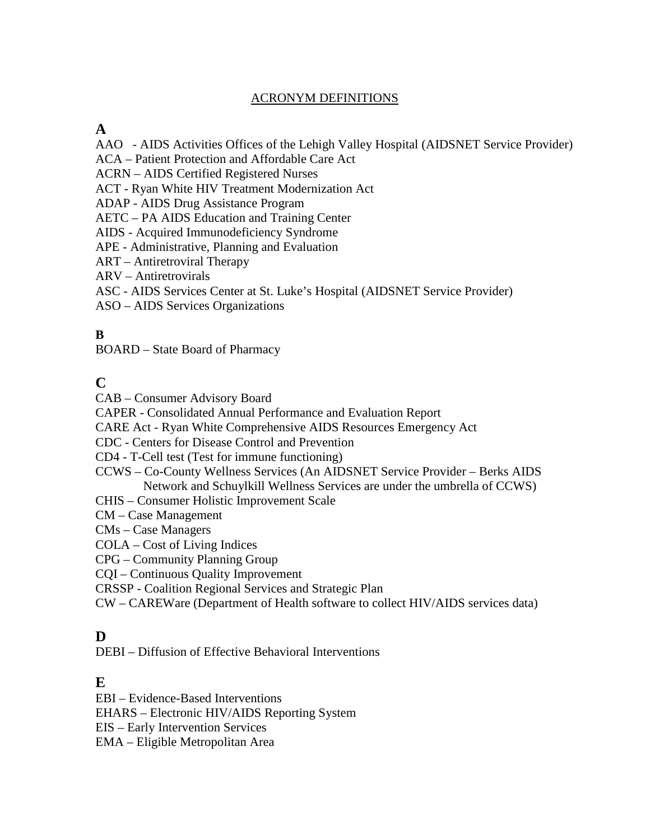#### ACRONYM DEFINITIONS

#### **A**

- AAO AIDS Activities Offices of the Lehigh Valley Hospital (AIDSNET Service Provider)
- ACA Patient Protection and Affordable Care Act
- ACRN AIDS Certified Registered Nurses
- ACT Ryan White HIV Treatment Modernization Act
- ADAP AIDS Drug Assistance Program
- AETC PA AIDS Education and Training Center
- AIDS Acquired Immunodeficiency Syndrome
- APE Administrative, Planning and Evaluation
- ART Antiretroviral Therapy
- ARV Antiretrovirals
- ASC AIDS Services Center at St. Luke's Hospital (AIDSNET Service Provider)
- ASO AIDS Services Organizations

#### **B**

BOARD – State Board of Pharmacy

## **C**

CAB – Consumer Advisory Board

CAPER - Consolidated Annual Performance and Evaluation Report

CARE Act - Ryan White Comprehensive AIDS Resources Emergency Act

CDC - Centers for Disease Control and Prevention

CD4 - T-Cell test (Test for immune functioning)

CCWS – Co-County Wellness Services (An AIDSNET Service Provider – Berks AIDS Network and Schuylkill Wellness Services are under the umbrella of CCWS)

CHIS – Consumer Holistic Improvement Scale

CM – Case Management

CMs – Case Managers

COLA – Cost of Living Indices

CPG – Community Planning Group

CQI – Continuous Quality Improvement

CRSSP - Coalition Regional Services and Strategic Plan

CW – CAREWare (Department of Health software to collect HIV/AIDS services data)

#### **D**

DEBI – Diffusion of Effective Behavioral Interventions

#### **E**

EBI – Evidence-Based Interventions

EHARS – Electronic HIV/AIDS Reporting System

EIS – Early Intervention Services

EMA – Eligible Metropolitan Area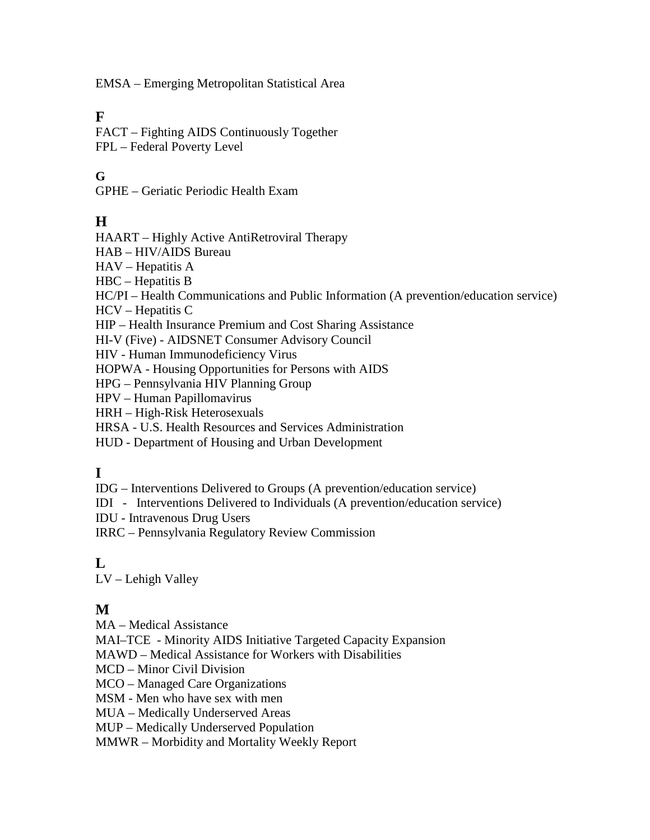EMSA – Emerging Metropolitan Statistical Area

#### **F**

FACT – Fighting AIDS Continuously Together FPL – Federal Poverty Level

### **G**

GPHE – Geriatic Periodic Health Exam

### **H**

HAART – Highly Active AntiRetroviral Therapy

HAB – HIV/AIDS Bureau

HAV – Hepatitis A

HBC – Hepatitis B

HC/PI – Health Communications and Public Information (A prevention/education service)

HCV – Hepatitis C

HIP – Health Insurance Premium and Cost Sharing Assistance

HI-V (Five) - AIDSNET Consumer Advisory Council

HIV - Human Immunodeficiency Virus

HOPWA - Housing Opportunities for Persons with AIDS

HPG – Pennsylvania HIV Planning Group

HPV – Human Papillomavirus

HRH – High-Risk Heterosexuals

HRSA - U.S. Health Resources and Services Administration

HUD - Department of Housing and Urban Development

#### **I**

IDG – Interventions Delivered to Groups (A prevention/education service)

IDI - Interventions Delivered to Individuals (A prevention/education service)

IDU - Intravenous Drug Users

IRRC – Pennsylvania Regulatory Review Commission

#### $\mathbf{L}$

LV – Lehigh Valley

## **M**

MA – Medical Assistance

MAI–TCE - Minority AIDS Initiative Targeted Capacity Expansion

MAWD – Medical Assistance for Workers with Disabilities

MCD – Minor Civil Division

MCO – Managed Care Organizations

MSM - Men who have sex with men

MUA – Medically Underserved Areas

MUP – Medically Underserved Population

MMWR – Morbidity and Mortality Weekly Report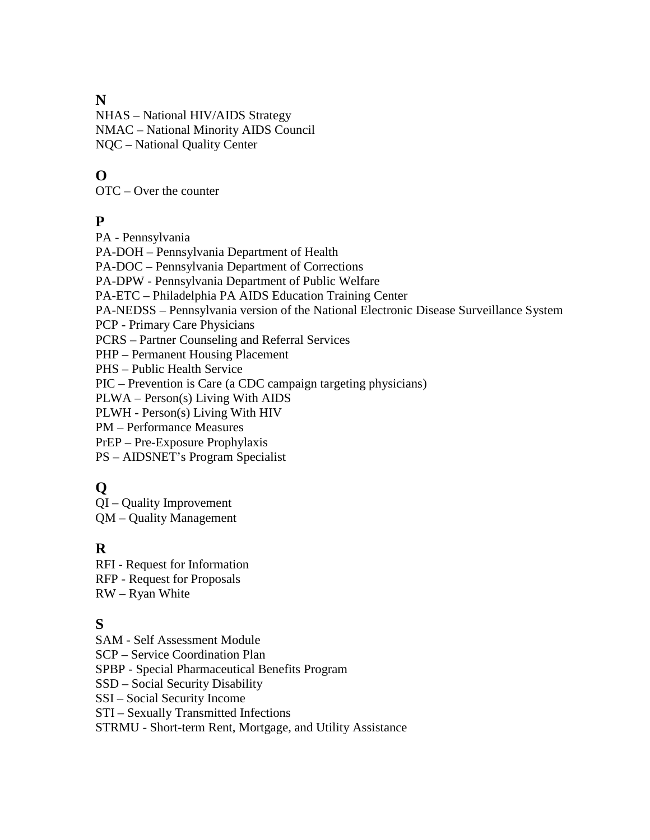### **N**

NHAS – National HIV/AIDS Strategy NMAC – National Minority AIDS Council NQC – National Quality Center

# **O**

OTC – Over the counter

### **P**

PA - Pennsylvania

PA-DOH – Pennsylvania Department of Health

PA-DOC – Pennsylvania Department of Corrections

PA-DPW - Pennsylvania Department of Public Welfare

PA-ETC – Philadelphia PA AIDS Education Training Center

PA-NEDSS – Pennsylvania version of the National Electronic Disease Surveillance System

PCP - Primary Care Physicians

PCRS – Partner Counseling and Referral Services

PHP – Permanent Housing Placement

PHS – Public Health Service

PIC – Prevention is Care (a CDC campaign targeting physicians)

PLWA – Person(s) Living With AIDS

PLWH - Person(s) Living With HIV

PM – Performance Measures

PrEP – Pre-Exposure Prophylaxis

PS – AIDSNET's Program Specialist

# **Q**

QI – Quality Improvement QM – Quality Management

# **R**

RFI - Request for Information RFP - Request for Proposals RW – Ryan White

# **S**

SAM - Self Assessment Module

SCP – Service Coordination Plan

SPBP - Special Pharmaceutical Benefits Program

SSD – Social Security Disability

SSI – Social Security Income

STI – Sexually Transmitted Infections

STRMU - Short-term Rent, Mortgage, and Utility Assistance